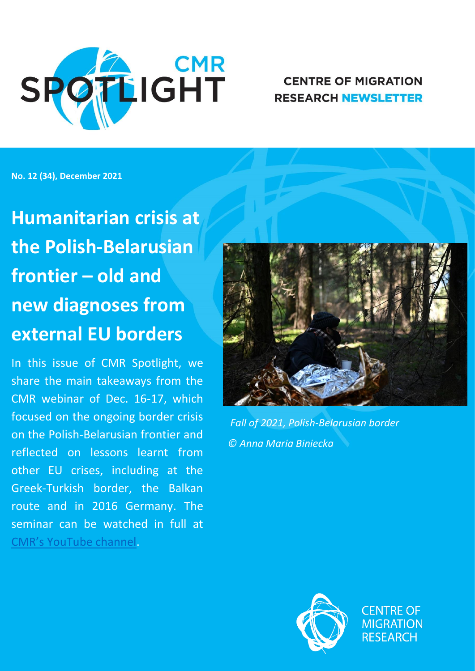

# **CENTRE OF MIGRATION RESEARCH NEWSLETTER**

**No. 12 (34), December 2021**

**Humanitarian crisis at the Polish-Belarusian frontier – old and new diagnoses from external EU borders**

In this issue of CMR Spotlight, we share the main takeaways from the CMR webinar of Dec. 16-17, which focused on the ongoing border crisis on the Polish-Belarusian frontier and reflected on lessons learnt from other EU crises, including at the Greek-Turkish border, the Balkan route and in 2016 Germany. The seminar can be watched in full at [CMR's YouTube channel](https://www.youtube.com/channel/UC2m3P7FfJloxjnA5KKzHHgw/videos).



*Fall of 2021, Polish-Belarusian border © Anna Maria Biniecka*



**CENTRE OF MIGRATION RESEARCH**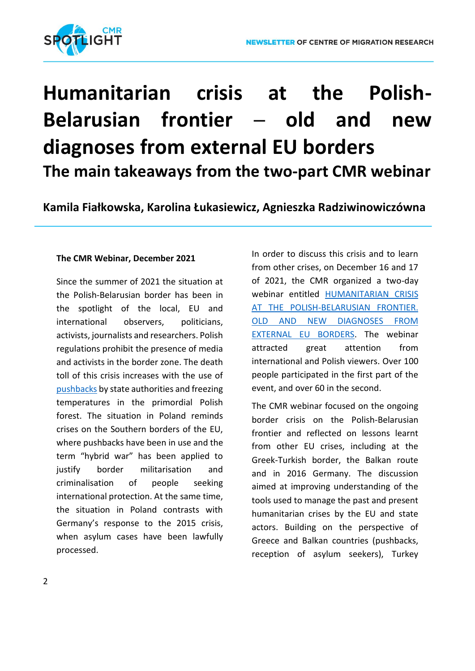

# **Humanitarian crisis at the Polish-Belarusian frontier ─ old and new diagnoses from external EU borders The main takeaways from the two-part CMR webinar**

**Kamila Fiałkowska, Karolina Łukasiewicz, Agnieszka Radziwinowiczówna**

#### **The CMR Webinar, December 2021**

Since the summer of 2021 the situation at the Polish-Belarusian border has been in the spotlight of the local, EU and international observers, politicians, activists, journalists and researchers. Polish regulations prohibit the presence of media and activists in the border zone. The death toll of this crisis increases with the use of [pushbacks](https://ecre.org/eu-eastern-borders-deadly-border-stand-off-claims-more-than-20-lives-syrians-appeal-for-protection-iraqis-face-few-opportunities-back-home-lithuania-offers-cash-for-returns-green-light-goes-europ/) by state authorities and freezing temperatures in the primordial Polish forest. The situation in Poland reminds crises on the Southern borders of the EU, where pushbacks have been in use and the term "hybrid war" has been applied to justify border militarisation and criminalisation of people seeking international protection. At the same time, the situation in Poland contrasts with Germany's response to the 2015 crisis, when asylum cases have been lawfully processed.

In order to discuss this crisis and to learn from other crises, on December 16 and 17 of 2021, the CMR organized a two-day webinar entitled [HUMANITARIAN CRISIS](http://www.migracje.uw.edu.pl/wydarzenia/humanitarian-crisis-at-the-polish-belarusian-frontier-old-and-new-diagnoses-from-external-eu-borders/)  AT THE POLISH-BELARUSIAN FRONTIER. [OLD AND NEW DIAGNOSES FROM](http://www.migracje.uw.edu.pl/wydarzenia/humanitarian-crisis-at-the-polish-belarusian-frontier-old-and-new-diagnoses-from-external-eu-borders/)  [EXTERNAL EU BORDERS.](http://www.migracje.uw.edu.pl/wydarzenia/humanitarian-crisis-at-the-polish-belarusian-frontier-old-and-new-diagnoses-from-external-eu-borders/) The webinar attracted great attention from international and Polish viewers. Over 100 people participated in the first part of the event, and over 60 in the second.

The CMR webinar focused on the ongoing border crisis on the Polish-Belarusian frontier and reflected on lessons learnt from other EU crises, including at the Greek-Turkish border, the Balkan route and in 2016 Germany. The discussion aimed at improving understanding of the tools used to manage the past and present humanitarian crises by the EU and state actors. Building on the perspective of Greece and Balkan countries (pushbacks, reception of asylum seekers), Turkey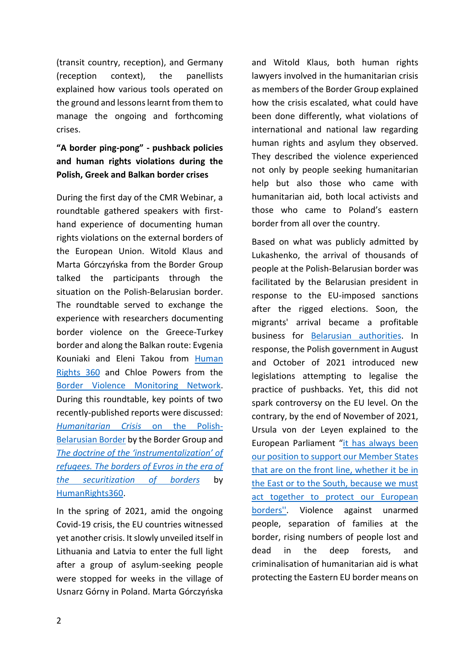(transit country, reception), and Germany (reception context), the panellists explained how various tools operated on the ground and lessons learnt from them to manage the ongoing and forthcoming crises.

**"A border ping-pong" - pushback policies and human rights violations during the Polish, Greek and Balkan border crises** 

During the first day of the CMR Webinar, a roundtable gathered speakers with firsthand experience of documenting human rights violations on the external borders of the European Union. Witold Klaus and Marta Górczyńska from the Border Group talked the participants through the situation on the Polish-Belarusian border. The roundtable served to exchange the experience with researchers documenting border violence on the Greece-Turkey border and along the Balkan route: Evgenia Kouniaki and Eleni Takou from Human [Rights 360](https://www.humanrights360.org/) and Chloe Powers from the Border Violence [Monitoring Network.](https://www.borderviolence.eu/) During this roundtable, key points of two recently-published reports were discussed: *[Humanitarian Crisis](https://minorityrights.org/wp-content/uploads/2021/12/gg_-Report-english-sources-incomplete.pdf)* [on the Polish-](https://minorityrights.org/wp-content/uploads/2021/12/gg_-Report-english-sources-incomplete.pdf)[Belarusian Border](https://minorityrights.org/wp-content/uploads/2021/12/gg_-Report-english-sources-incomplete.pdf) by the Border Group and *[The doctrine of the 'instrumentalization' of](https://www.humanrights360.org/wp-content/uploads/2021/11/Evros_en.pdf)  [refugees. The borders of Evros in the era of](https://www.humanrights360.org/wp-content/uploads/2021/11/Evros_en.pdf)  [the securitization of borders](https://www.humanrights360.org/wp-content/uploads/2021/11/Evros_en.pdf)* by [ΗumanRights360](https://www.humanrights360.org/).

In the spring of 2021, amid the ongoing Covid-19 crisis, the EU countries witnessed yet another crisis. It slowly unveiled itself in Lithuania and Latvia to enter the full light after a group of asylum-seeking people were stopped for weeks in the village of Usnarz Górny in Poland. Marta Górczyńska and Witold Klaus, both human rights lawyers involved in the humanitarian crisis as members of the Border Group explained how the crisis escalated, what could have been done differently, what violations of international and national law regarding human rights and asylum they observed. They described the violence experienced not only by people seeking humanitarian help but also those who came with humanitarian aid, both local activists and those who came to Poland's eastern border from all over the country.

Based on what was publicly admitted by Lukashenko, the arrival of thousands of people at the Polish-Belarusian border was facilitated by the Belarusian president in response to the EU-imposed sanctions after the rigged elections. Soon, the migrants' arrival became a profitable business for [Belarusian authorities.](https://vsquare.org/see-minsk-and-die-how-belarusian-firms-smuggle-refugees/) In response, the Polish government in August and October of 2021 introduced new legislations attempting to legalise the practice of pushbacks. Yet, this did not spark controversy on the EU level. On the contrary, by the end of November of 2021, Ursula von der Leyen explained to the European Parliament "[it has always been](https://ec.europa.eu/commission/presscorner/detail/en/speech_21_6249)  [our position to support our Member States](https://ec.europa.eu/commission/presscorner/detail/en/speech_21_6249)  [that are on the front line, whether it be in](https://ec.europa.eu/commission/presscorner/detail/en/speech_21_6249)  [the East or to the South, because we must](https://ec.europa.eu/commission/presscorner/detail/en/speech_21_6249)  [act together to protect our European](https://ec.europa.eu/commission/presscorner/detail/en/speech_21_6249)  [borders''.](https://ec.europa.eu/commission/presscorner/detail/en/speech_21_6249) Violence against unarmed people, separation of families at the border, rising numbers of people lost and dead in the deep forests, and criminalisation of humanitarian aid is what protecting the Eastern EU border means on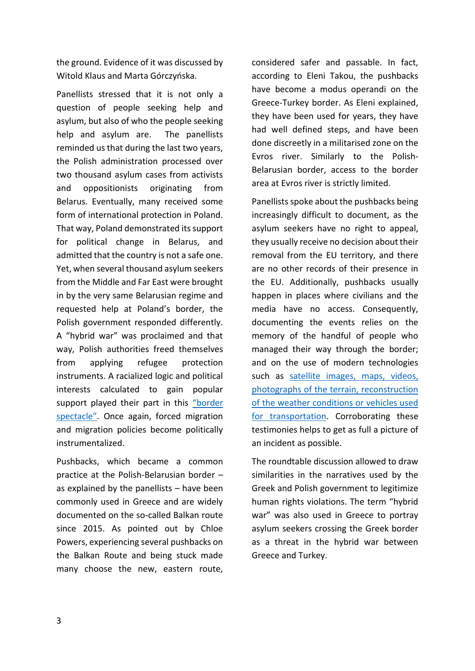the ground. Evidence of it was discussed by Witold Klaus and Marta Górczyńska.

Panellists stressed that it is not only a question of people seeking help and asylum, but also of who the people seeking help and asylum are. The panellists reminded us that during the last two years, the Polish administration processed over two thousand asylum cases from activists and oppositionists originating from Belarus. Eventually, many received some form of international protection in Poland. That way, Poland demonstrated its support for political change in Belarus, and admitted that the country is not a safe one. Yet, when several thousand asylum seekers from the Middle and Far East were brought in by the very same Belarusian regime and requested help at Poland's border, the Polish government responded differently. A "hybrid war" was proclaimed and that way, Polish authorities freed themselves from applying refugee protection instruments. A racialized logic and political interests calculated to gain popular support played their part in this "border [spectac](https://www.tandfonline.com/doi/full/10.1080/01419870.2013.783710)le". Once again, forced migration and migration policies become politically instrumentalized.

Pushbacks, which became a common practice at the Polish-Belarusian border – as explained by the panellists – have been commonly used in Greece and are widely documented on the so-called Balkan route since 2015. As pointed out by Chloe Powers, experiencing several pushbacks on the Balkan Route and being stuck made many choose the new, eastern route, considered safer and passable. In fact, according to Eleni Takou, the pushbacks have become a modus operandi on the Greece-Turkey border. As Eleni explained, they have been used for years, they have had well defined steps, and have been done discreetly in a militarised zone on the Evros river. Similarly to the Polish-Belarusian border, access to the border area at Evros river is strictly limited.

Panellists spoke about the pushbacks being increasingly difficult to document, as the asylum seekers have no right to appeal, they usually receive no decision about their removal from the EU territory, and there are no other records of their presence in the EU. Additionally, pushbacks usually happen in places where civilians and the media have no access. Consequently, documenting the events relies on the memory of the handful of people who managed their way through the border; and on the use of modern technologies such as satellite images, maps, videos, [photographs of the terrain, reconstruction](https://www.youtube.com/watch?v=HniowJI7P7k&t=194s&ab_channel=ForensicArchitecture)  [of the weather conditions or vehicles used](https://www.youtube.com/watch?v=HniowJI7P7k&t=194s&ab_channel=ForensicArchitecture)  [for transportation.](https://www.youtube.com/watch?v=HniowJI7P7k&t=194s&ab_channel=ForensicArchitecture) Corroborating these testimonies helps to get as full a picture of an incident as possible.

The roundtable discussion allowed to draw similarities in the narratives used by the Greek and Polish government to legitimize human rights violations. The term "hybrid war" was also used in Greece to portray asylum seekers crossing the Greek border as a threat in the hybrid war between Greece and Turkey.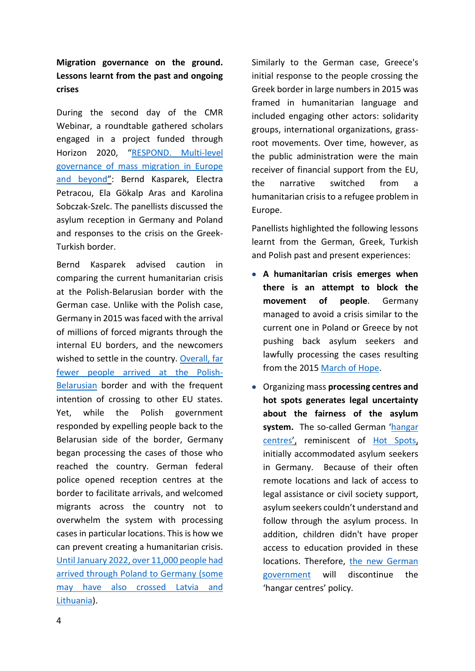# **Migration governance on the ground. Lessons learnt from the past and ongoing crises**

During the second day of the CMR Webinar, a roundtable gathered scholars engaged in a project funded through Horizon 2020, "[RESPOND. Multi-level](https://respondmigration.com/)  [governance of mass migration in Europe](https://respondmigration.com/)  [and beyond](https://respondmigration.com/)": Bernd Kasparek, Electra Petracou, Ela Gökalp Aras and Karolina Sobczak-Szelc. The panellists discussed the asylum reception in Germany and Poland and responses to the crisis on the Greek-Turkish border.

Bernd Kasparek advised caution in comparing the current humanitarian crisis at the Polish-Belarusian border with the German case. Unlike with the Polish case, Germany in 2015 was faced with the arrival of millions of forced migrants through the internal EU borders, and the newcomers wished to settle in the country. [Overall, far](https://frontex.europa.eu/we-know/migratory-map/)  [fewer people arrived at the Polish-](https://frontex.europa.eu/we-know/migratory-map/)[Belarusian](https://frontex.europa.eu/we-know/migratory-map/) border and with the frequent intention of crossing to other EU states. Yet, while the Polish government responded by expelling people back to the Belarusian side of the border, Germany began processing the cases of those who reached the country. German federal police opened reception centres at the border to facilitate arrivals, and welcomed migrants across the country not to overwhelm the system with processing cases in particular locations. This is how we can prevent creating a humanitarian crisis. [Until January](https://www.infomigrants.net/en/post/37559/11000-migrants-reached-germany-in-2021-via-belarus-and-poland) [2022, over 11,000 people had](https://www.infomigrants.net/en/post/37559/11000-migrants-reached-germany-in-2021-via-belarus-and-poland)  [arrived through Poland to Germany \(some](https://www.infomigrants.net/en/post/37559/11000-migrants-reached-germany-in-2021-via-belarus-and-poland)  [may have also crossed Latvia and](https://www.infomigrants.net/en/post/37559/11000-migrants-reached-germany-in-2021-via-belarus-and-poland)  [Lithuania\)](https://www.infomigrants.net/en/post/37559/11000-migrants-reached-germany-in-2021-via-belarus-and-poland).

Similarly to the German case, Greece's initial response to the people crossing the Greek border in large numbers in 2015 was framed in humanitarian language and included engaging other actors: solidarity groups, international organizations, grassroot movements. Over time, however, as the public administration were the main receiver of financial support from the EU, the narrative switched from a humanitarian crisis to a refugee problem in Europe.

Panellists highlighted the following lessons learnt from the German, Greek, Turkish and Polish past and present experiences:

- **A humanitarian crisis emerges when there is an attempt to block the movement of people**. Germany managed to avoid a crisis similar to the current one in Poland or Greece by not pushing back asylum seekers and lawfully processing the cases resulting from the 2015 [March of Hope.](http://moving-europe.org/march-of-hope-3/)
- Organizing mass **processing centres and hot spots generates legal uncertainty about the fairness of the asylum system.** The so-called German '[hangar](https://www.dw.com/en/berlin-to-stop-housing-refugees-in-tempelhof-hangars-in-theory/a-19415068)  [centres](https://www.dw.com/en/berlin-to-stop-housing-refugees-in-tempelhof-hangars-in-theory/a-19415068)', reminiscent of [Hot Spots,](https://www.mpg.de/15268542/asylum-facilities-that-violate-laws) initially accommodated asylum seekers in Germany. Because of their often remote locations and lack of access to legal assistance or civil society support, asylum seekers couldn't understand and follow through the asylum process. In addition, children didn't have proper access to education provided in these locations. Therefore, the new German [government](https://www.infomigrants.net/en/post/36766/new-german-government-to-introduce-sweeping-changes-to-migration-policy) will discontinue the 'hangar centres' policy.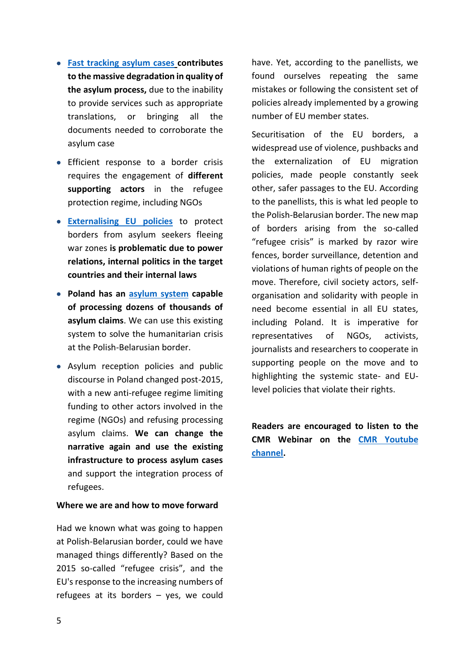- **[Fast tracking asylum cases](https://respondmigration.com/wp-blog/integration-policies-trends-problems-challenges-integrated-report-9-country-cases) contributes to the massive degradation in quality of the asylum process,** due to the inability to provide services such as appropriate translations, or bringing all the documents needed to corroborate the asylum case
- Efficient response to a border crisis requires the engagement of **different supporting actors** in the refugee protection regime, including NGOs
- **[Externalising EU policies](https://respondmigration.com/wp-blog/eu-externalisation-policy-migration-asylum-turkey-case-study)** to protect borders from asylum seekers fleeing war zones **is problematic due to power relations, internal politics in the target countries and their internal laws**
- **Poland has an [asylum system](https://respondmigration.com/wp-blog/refugee-integration-policies-practices-experiences-poland-country-report) capable of processing dozens of thousands of asylum claims**. We can use this existing system to solve the humanitarian crisis at the Polish-Belarusian border.
- Asylum reception policies and public discourse in Poland changed post-2015, with a new anti-refugee regime limiting funding to other actors involved in the regime (NGOs) and refusing processing asylum claims. **We can change the narrative again and use the existing infrastructure to process asylum cases** and support the integration process of refugees.

#### **Where we are and how to move forward**

Had we known what was going to happen at Polish-Belarusian border, could we have managed things differently? Based on the 2015 so-called "refugee crisis", and the EU's response to the increasing numbers of refugees at its borders – yes, we could have. Yet, according to the panellists, we found ourselves repeating the same mistakes or following the consistent set of policies already implemented by a growing number of EU member states.

Securitisation of the EU borders, a widespread use of violence, pushbacks and the externalization of EU migration policies, made people constantly seek other, safer passages to the EU. According to the panellists, this is what led people to the Polish-Belarusian border. The new map of borders arising from the so-called "refugee crisis" is marked by razor wire fences, border surveillance, detention and violations of human rights of people on the move. Therefore, civil society actors, selforganisation and solidarity with people in need become essential in all EU states, including Poland. It is imperative for representatives of NGOs, activists, journalists and researchers to cooperate in supporting people on the move and to highlighting the systemic state- and EUlevel policies that violate their rights.

**Readers are encouraged to listen to the CMR Webinar on the [CMR Youtube](https://www.youtube.com/channel/UC2m3P7FfJloxjnA5KKzHHgw/videos)  [channel.](https://www.youtube.com/channel/UC2m3P7FfJloxjnA5KKzHHgw/videos)**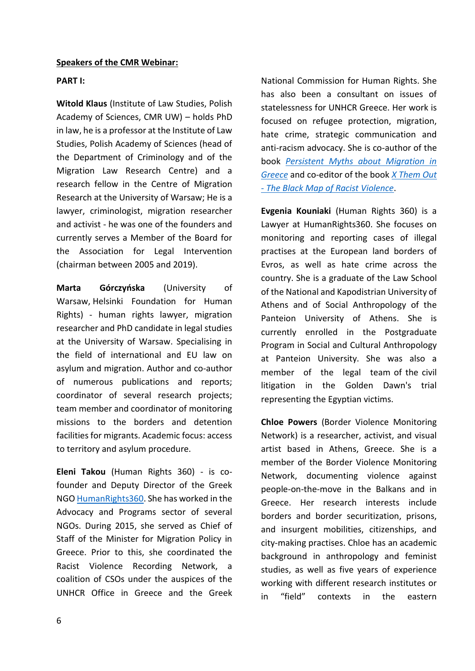### **PART I:**

**Witold Klaus** (Institute of Law Studies, Polish Academy of Sciences, CMR UW) – holds PhD in law, he is a professor at the Institute of Law Studies, Polish Academy of Sciences (head of the Department of Criminology and of the Migration Law Research Centre) and a research fellow in the Centre of Migration Research at the University of Warsaw; He is a lawyer, criminologist, migration researcher and activist - he was one of the founders and currently serves a Member of the Board for the Association for Legal Intervention (chairman between 2005 and 2019).

**Marta Górczyńska** (University of Warsaw, Helsinki Foundation for Human Rights) - human rights lawyer, migration researcher and PhD candidate in legal studies at the University of Warsaw. Specialising in the field of international and EU law on asylum and migration. Author and co-author of numerous publications and reports; coordinator of several research projects; team member and coordinator of monitoring missions to the borders and detention facilities for migrants. Academic focus: access to territory and asylum procedure.

**Eleni Takou** (Human Rights 360) - is cofounder and Deputy Director of the Greek NG[O HumanRights360.](https://www.humanrights360.org/) She has worked in the Advocacy and Programs sector of several NGOs. During 2015, she served as Chief of Staff of the Minister for Migration Policy in Greece. Prior to this, she coordinated the Racist Violence Recording Network, a coalition of CSOs under the auspices of the UNHCR Office in Greece and the Greek National Commission for Human Rights. She has also been a consultant on issues of statelessness for UNHCR Greece. Her work is focused on refugee protection, migration, hate crime, strategic communication and anti-racism advocacy. She is co-author of the book *[Persistent Myths about Migration in](https://rosalux.gr/el/publication/i-metanasteysi-stin-ellada)  [Greece](https://rosalux.gr/el/publication/i-metanasteysi-stin-ellada)* and co-editor of the book *[X Them Out](http://www.toposbooks.gr/contents/eng/books_details_eng.php?nid=631)  - [The Black Map of Racist Violence](http://www.toposbooks.gr/contents/eng/books_details_eng.php?nid=631)*.

**Evgenia Kouniaki** (Human Rights 360) is a Lawyer at HumanRights360. She focuses on monitoring and reporting cases of illegal practises at the European land borders of Evros, as well as hate crime across the country. She is a graduate of the Law School of the National and Kapodistrian University of Athens and of Social Anthropology of the Panteion University of Athens. She is currently enrolled in the Postgraduate Program in Social and Cultural Anthropology at Panteion University. She was also a member of the legal team of the civil litigation in the Golden Dawn's trial representing the Egyptian victims.

**Chloe Powers** (Border Violence Monitoring Network) is a researcher, activist, and visual artist based in Athens, Greece. She is a member of the Border Violence Monitoring Network, documenting violence against people-on-the-move in the Balkans and in Greece. Her research interests include borders and border securitization, prisons, and insurgent mobilities, citizenships, and city-making practises. Chloe has an academic background in anthropology and feminist studies, as well as five years of experience working with different research institutes or in "field" contexts in the eastern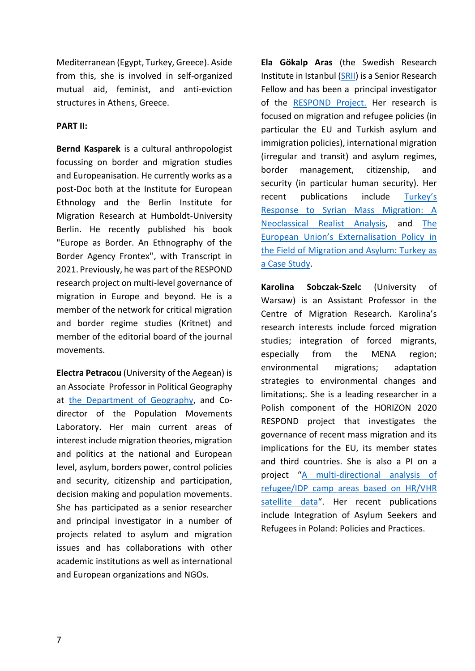Mediterranean (Egypt, Turkey, Greece). Aside from this, she is involved in self-organized mutual aid, feminist, and anti-eviction structures in Athens, Greece.

## **PART II:**

**Bernd Kasparek** is a cultural anthropologist focussing on border and migration studies and Europeanisation. He currently works as a post-Doc both at the Institute for European Ethnology and the Berlin Institute for Migration Research at Humboldt-University Berlin. He recently published his book "Europe as Border. An Ethnography of the Border Agency Frontex'', with Transcript in 2021. Previously, he was part of the RESPOND research project on multi-level governance of migration in Europe and beyond. He is a member of the network for critical migration and border regime studies (Kritnet) and member of the editorial board of the journal movements.

**Electra Petracou** (University of the Aegean) is an Associate Professor in Political Geography at [the Department of Geography,](https://geography.aegean.gr/ppl/index_en.php?content=0&bio=ipetr) and Codirector of the Population Movements Laboratory. Her main current areas of interest include migration theories, migration and politics at the national and European level, asylum, borders power, control policies and security, citizenship and participation, decision making and population movements. She has participated as a senior researcher and principal investigator in a number of projects related to asylum and migration issues and has collaborations with other academic institutions as well as international and European organizations and NGOs.

**Ela Gökalp Aras** (the Swedish Research Institute in Istanbul [\(SRII\)](https://www.srii.org/) is a Senior Research Fellow and has been a principal investigator of the [RESPOND Project.](https://respondmigration.com/wp-blog/comparative-report-on-respond-research) Her research is focused on migration and refugee policies (in particular the EU and Turkish asylum and immigration policies), international migration (irregular and transit) and asylum regimes, border management, citizenship, and security (in particular human security). Her recent publications include [Turkey's](https://www.uidergisi.com.tr/uploads/yazilar/5732-68-6-pdf.pdf)  [Response to Syrian Mass Migration: A](https://www.uidergisi.com.tr/uploads/yazilar/5732-68-6-pdf.pdf)  [Neoclassical Realist Analysis,](https://www.uidergisi.com.tr/uploads/yazilar/5732-68-6-pdf.pdf) and [The](https://respondmigration.com/wp-blog/eu-externalisation-policy-migration-asylum-turkey-case-study)  [European Union's Externalisation Policy in](https://respondmigration.com/wp-blog/eu-externalisation-policy-migration-asylum-turkey-case-study)  [the Field of Migration and Asylum: Turkey as](https://respondmigration.com/wp-blog/eu-externalisation-policy-migration-asylum-turkey-case-study)  [a Case Study.](https://respondmigration.com/wp-blog/eu-externalisation-policy-migration-asylum-turkey-case-study)

**Karolina Sobczak-Szelc** (University of Warsaw) is an Assistant Professor in the Centre of Migration Research. Karolina's research interests include forced migration studies; integration of forced migrants, especially from the MENA region; environmental migrations; adaptation strategies to environmental changes and limitations;. She is a leading researcher in a Polish component of the HORIZON 2020 RESPOND project that investigates the governance of recent mass migration and its implications for the EU, its member states and third countries. She is also a PI on a project "[A multi-directional analysis of](http://www.migracje.uw.edu.pl/projects/a-multi-directional-analysis-of-refugee-idp-camp-areas-based-on-hr-vhr-satellite-data/)  [refugee/IDP camp areas based on HR/VHR](http://www.migracje.uw.edu.pl/projects/a-multi-directional-analysis-of-refugee-idp-camp-areas-based-on-hr-vhr-satellite-data/)  [satellite data](http://www.migracje.uw.edu.pl/projects/a-multi-directional-analysis-of-refugee-idp-camp-areas-based-on-hr-vhr-satellite-data/)". Her recent publications include Integration of Asylum Seekers and Refugees in Poland: Policies and Practices.